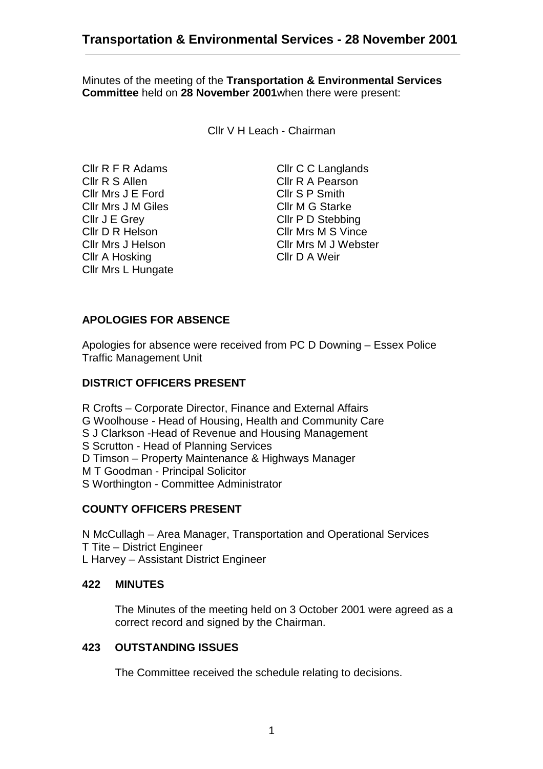Minutes of the meeting of the **Transportation & Environmental Services Committee** held on **28 November 2001**when there were present:

Cllr V H Leach - Chairman

Cllr R F R Adams Cllr C C Langlands Cllr R S Allen Cllr R A Pearson Cllr Mrs J E Ford Cllr S P Smith Cllr Mrs J M Giles Cllr M G Starke Cllr J E Grey Cllr P D Stebbing Cllr D R Helson Cllr Mrs M S Vince Cllr A Hosking Cllr D A Weir Cllr Mrs L Hungate

Cllr Mrs J Helson Cllr Mrs M J Webster

# **APOLOGIES FOR ABSENCE**

Apologies for absence were received from PC D Downing – Essex Police Traffic Management Unit

#### **DISTRICT OFFICERS PRESENT**

R Crofts – Corporate Director, Finance and External Affairs G Woolhouse - Head of Housing, Health and Community Care S J Clarkson -Head of Revenue and Housing Management S Scrutton - Head of Planning Services D Timson – Property Maintenance & Highways Manager M T Goodman - Principal Solicitor S Worthington - Committee Administrator

### **COUNTY OFFICERS PRESENT**

N McCullagh – Area Manager, Transportation and Operational Services T Tite – District Engineer L Harvey – Assistant District Engineer

#### **422 MINUTES**

The Minutes of the meeting held on 3 October 2001 were agreed as a correct record and signed by the Chairman.

#### **423 OUTSTANDING ISSUES**

The Committee received the schedule relating to decisions.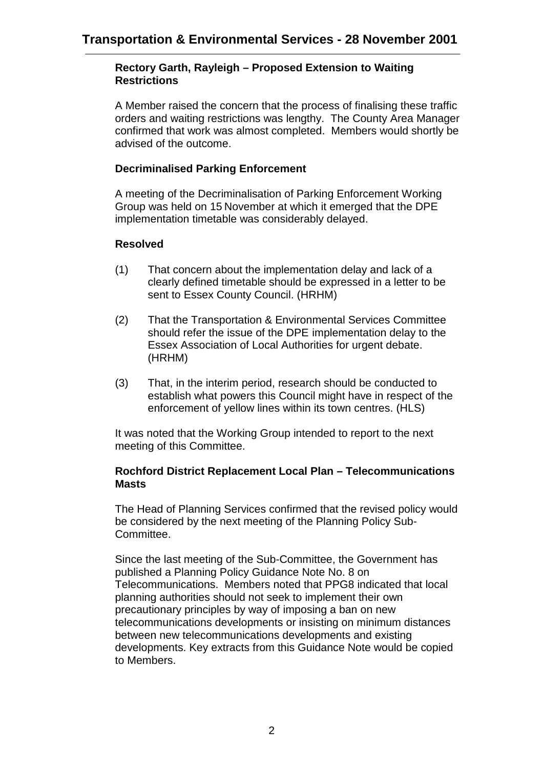#### **Rectory Garth, Rayleigh – Proposed Extension to Waiting Restrictions**

A Member raised the concern that the process of finalising these traffic orders and waiting restrictions was lengthy. The County Area Manager confirmed that work was almost completed. Members would shortly be advised of the outcome.

### **Decriminalised Parking Enforcement**

A meeting of the Decriminalisation of Parking Enforcement Working Group was held on 15 November at which it emerged that the DPE implementation timetable was considerably delayed.

### **Resolved**

- (1) That concern about the implementation delay and lack of a clearly defined timetable should be expressed in a letter to be sent to Essex County Council. (HRHM)
- (2) That the Transportation & Environmental Services Committee should refer the issue of the DPE implementation delay to the Essex Association of Local Authorities for urgent debate. (HRHM)
- (3) That, in the interim period, research should be conducted to establish what powers this Council might have in respect of the enforcement of yellow lines within its town centres. (HLS)

It was noted that the Working Group intended to report to the next meeting of this Committee.

#### **Rochford District Replacement Local Plan – Telecommunications Masts**

The Head of Planning Services confirmed that the revised policy would be considered by the next meeting of the Planning Policy Sub-Committee.

Since the last meeting of the Sub-Committee, the Government has published a Planning Policy Guidance Note No. 8 on Telecommunications. Members noted that PPG8 indicated that local planning authorities should not seek to implement their own precautionary principles by way of imposing a ban on new telecommunications developments or insisting on minimum distances between new telecommunications developments and existing developments. Key extracts from this Guidance Note would be copied to Members.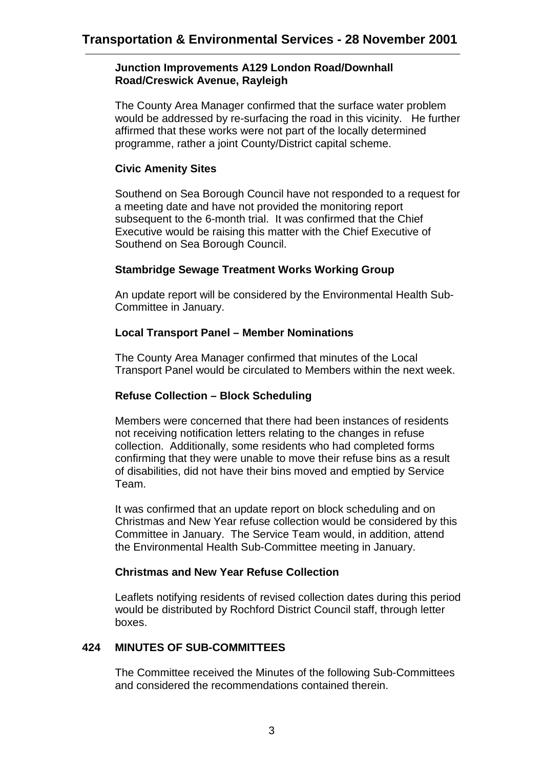#### **Junction Improvements A129 London Road/Downhall Road/Creswick Avenue, Rayleigh**

The County Area Manager confirmed that the surface water problem would be addressed by re-surfacing the road in this vicinity. He further affirmed that these works were not part of the locally determined programme, rather a joint County/District capital scheme.

### **Civic Amenity Sites**

Southend on Sea Borough Council have not responded to a request for a meeting date and have not provided the monitoring report subsequent to the 6-month trial. It was confirmed that the Chief Executive would be raising this matter with the Chief Executive of Southend on Sea Borough Council.

#### **Stambridge Sewage Treatment Works Working Group**

An update report will be considered by the Environmental Health Sub-Committee in January.

#### **Local Transport Panel – Member Nominations**

The County Area Manager confirmed that minutes of the Local Transport Panel would be circulated to Members within the next week.

### **Refuse Collection – Block Scheduling**

Members were concerned that there had been instances of residents not receiving notification letters relating to the changes in refuse collection. Additionally, some residents who had completed forms confirming that they were unable to move their refuse bins as a result of disabilities, did not have their bins moved and emptied by Service Team.

It was confirmed that an update report on block scheduling and on Christmas and New Year refuse collection would be considered by this Committee in January. The Service Team would, in addition, attend the Environmental Health Sub-Committee meeting in January.

#### **Christmas and New Year Refuse Collection**

Leaflets notifying residents of revised collection dates during this period would be distributed by Rochford District Council staff, through letter boxes.

### **424 MINUTES OF SUB-COMMITTEES**

The Committee received the Minutes of the following Sub-Committees and considered the recommendations contained therein.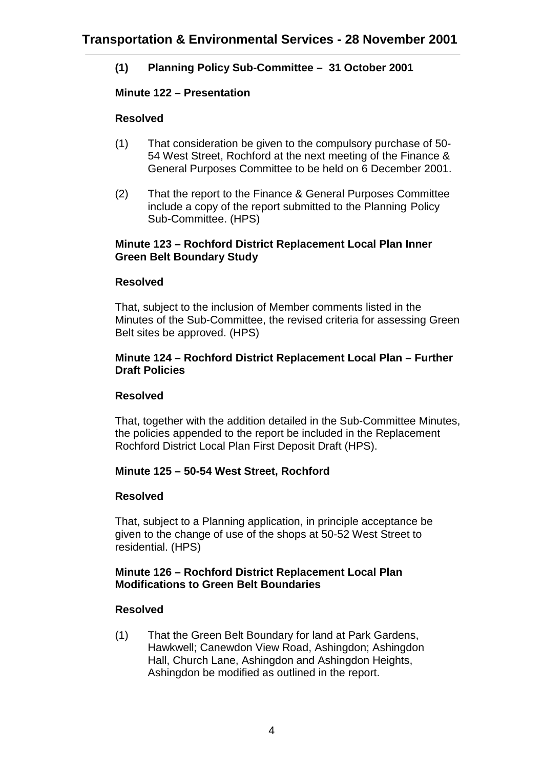# **(1) Planning Policy Sub-Committee – 31 October 2001**

## **Minute 122 – Presentation**

## **Resolved**

- (1) That consideration be given to the compulsory purchase of 50- 54 West Street, Rochford at the next meeting of the Finance & General Purposes Committee to be held on 6 December 2001.
- (2) That the report to the Finance & General Purposes Committee include a copy of the report submitted to the Planning Policy Sub-Committee. (HPS)

#### **Minute 123 – Rochford District Replacement Local Plan Inner Green Belt Boundary Study**

## **Resolved**

That, subject to the inclusion of Member comments listed in the Minutes of the Sub-Committee, the revised criteria for assessing Green Belt sites be approved. (HPS)

#### **Minute 124 – Rochford District Replacement Local Plan – Further Draft Policies**

### **Resolved**

That, together with the addition detailed in the Sub-Committee Minutes, the policies appended to the report be included in the Replacement Rochford District Local Plan First Deposit Draft (HPS).

# **Minute 125 – 50-54 West Street, Rochford**

### **Resolved**

That, subject to a Planning application, in principle acceptance be given to the change of use of the shops at 50-52 West Street to residential. (HPS)

#### **Minute 126 – Rochford District Replacement Local Plan Modifications to Green Belt Boundaries**

### **Resolved**

(1) That the Green Belt Boundary for land at Park Gardens, Hawkwell; Canewdon View Road, Ashingdon; Ashingdon Hall, Church Lane, Ashingdon and Ashingdon Heights, Ashingdon be modified as outlined in the report.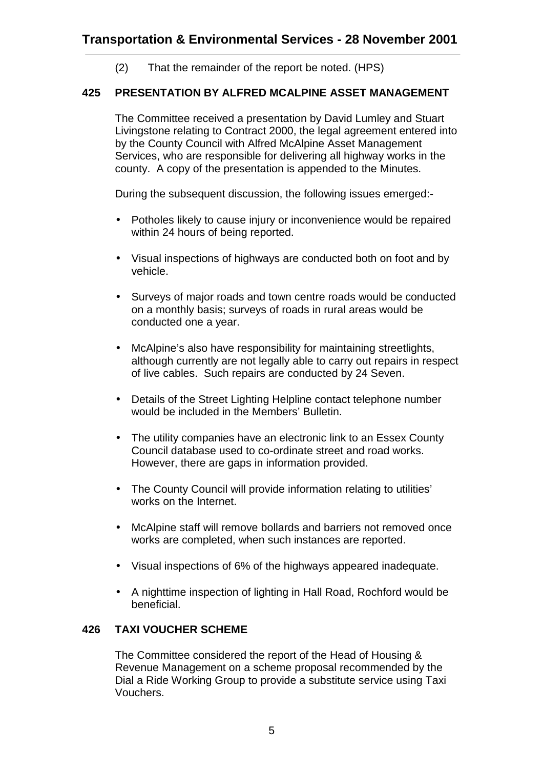(2) That the remainder of the report be noted. (HPS)

## **425 PRESENTATION BY ALFRED MCALPINE ASSET MANAGEMENT**

The Committee received a presentation by David Lumley and Stuart Livingstone relating to Contract 2000, the legal agreement entered into by the County Council with Alfred McAlpine Asset Management Services, who are responsible for delivering all highway works in the county. A copy of the presentation is appended to the Minutes.

During the subsequent discussion, the following issues emerged:-

- Potholes likely to cause injury or inconvenience would be repaired within 24 hours of being reported.
- Visual inspections of highways are conducted both on foot and by vehicle.
- Surveys of major roads and town centre roads would be conducted on a monthly basis; surveys of roads in rural areas would be conducted one a year.
- McAlpine's also have responsibility for maintaining streetlights, although currently are not legally able to carry out repairs in respect of live cables. Such repairs are conducted by 24 Seven.
- Details of the Street Lighting Helpline contact telephone number would be included in the Members' Bulletin.
- The utility companies have an electronic link to an Essex County Council database used to co-ordinate street and road works. However, there are gaps in information provided.
- The County Council will provide information relating to utilities' works on the Internet.
- McAlpine staff will remove bollards and barriers not removed once works are completed, when such instances are reported.
- Visual inspections of 6% of the highways appeared inadequate.
- A nighttime inspection of lighting in Hall Road, Rochford would be beneficial.

### **426 TAXI VOUCHER SCHEME**

The Committee considered the report of the Head of Housing & Revenue Management on a scheme proposal recommended by the Dial a Ride Working Group to provide a substitute service using Taxi Vouchers.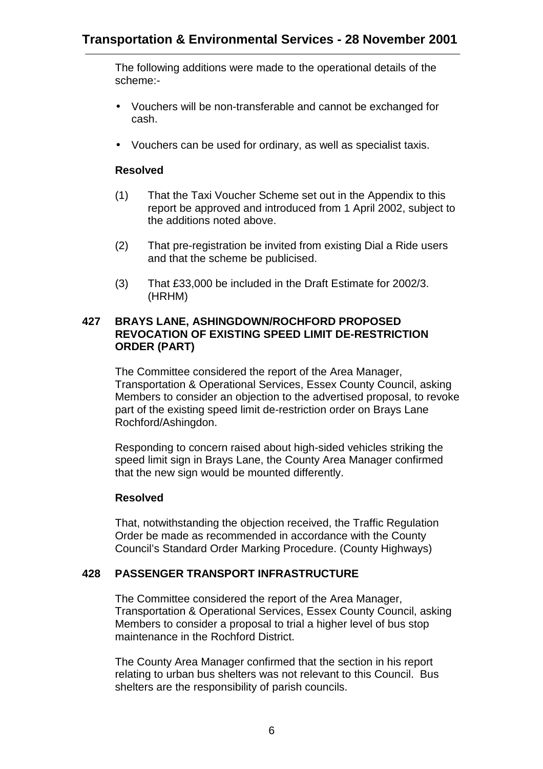The following additions were made to the operational details of the scheme:-

- Vouchers will be non-transferable and cannot be exchanged for cash.
- Vouchers can be used for ordinary, as well as specialist taxis.

## **Resolved**

- (1) That the Taxi Voucher Scheme set out in the Appendix to this report be approved and introduced from 1 April 2002, subject to the additions noted above.
- (2) That pre-registration be invited from existing Dial a Ride users and that the scheme be publicised.
- (3) That £33,000 be included in the Draft Estimate for 2002/3. (HRHM)

#### **427 BRAYS LANE, ASHINGDOWN/ROCHFORD PROPOSED REVOCATION OF EXISTING SPEED LIMIT DE-RESTRICTION ORDER (PART)**

The Committee considered the report of the Area Manager, Transportation & Operational Services, Essex County Council, asking Members to consider an objection to the advertised proposal, to revoke part of the existing speed limit de-restriction order on Brays Lane Rochford/Ashingdon.

Responding to concern raised about high-sided vehicles striking the speed limit sign in Brays Lane, the County Area Manager confirmed that the new sign would be mounted differently.

### **Resolved**

That, notwithstanding the objection received, the Traffic Regulation Order be made as recommended in accordance with the County Council's Standard Order Marking Procedure. (County Highways)

### **428 PASSENGER TRANSPORT INFRASTRUCTURE**

The Committee considered the report of the Area Manager, Transportation & Operational Services, Essex County Council, asking Members to consider a proposal to trial a higher level of bus stop maintenance in the Rochford District.

The County Area Manager confirmed that the section in his report relating to urban bus shelters was not relevant to this Council. Bus shelters are the responsibility of parish councils.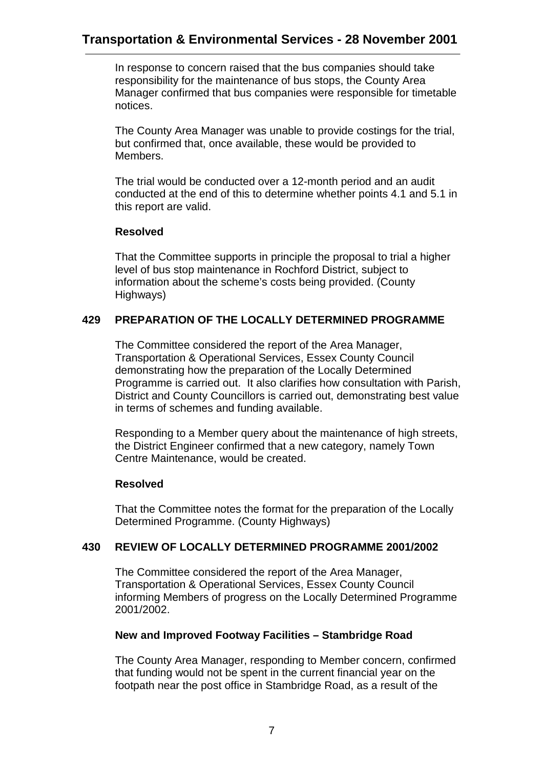In response to concern raised that the bus companies should take responsibility for the maintenance of bus stops, the County Area Manager confirmed that bus companies were responsible for timetable notices.

The County Area Manager was unable to provide costings for the trial, but confirmed that, once available, these would be provided to Members.

The trial would be conducted over a 12-month period and an audit conducted at the end of this to determine whether points 4.1 and 5.1 in this report are valid.

### **Resolved**

That the Committee supports in principle the proposal to trial a higher level of bus stop maintenance in Rochford District, subject to information about the scheme's costs being provided. (County Highways)

### **429 PREPARATION OF THE LOCALLY DETERMINED PROGRAMME**

The Committee considered the report of the Area Manager, Transportation & Operational Services, Essex County Council demonstrating how the preparation of the Locally Determined Programme is carried out. It also clarifies how consultation with Parish, District and County Councillors is carried out, demonstrating best value in terms of schemes and funding available.

Responding to a Member query about the maintenance of high streets, the District Engineer confirmed that a new category, namely Town Centre Maintenance, would be created.

### **Resolved**

That the Committee notes the format for the preparation of the Locally Determined Programme. (County Highways)

### **430 REVIEW OF LOCALLY DETERMINED PROGRAMME 2001/2002**

The Committee considered the report of the Area Manager, Transportation & Operational Services, Essex County Council informing Members of progress on the Locally Determined Programme 2001/2002.

### **New and Improved Footway Facilities – Stambridge Road**

The County Area Manager, responding to Member concern, confirmed that funding would not be spent in the current financial year on the footpath near the post office in Stambridge Road, as a result of the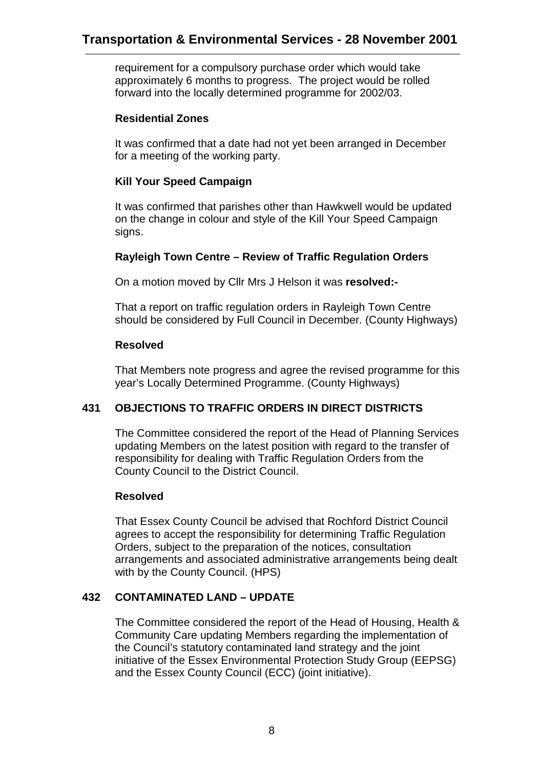requirement for a compulsory purchase order which would take approximately 6 months to progress. The project would be rolled forward into the locally determined programme for 2002/03.

### **Residential Zones**

It was confirmed that a date had not yet been arranged in December for a meeting of the working party.

## **Kill Your Speed Campaign**

It was confirmed that parishes other than Hawkwell would be updated on the change in colour and style of the Kill Your Speed Campaign signs.

## **Rayleigh Town Centre – Review of Traffic Regulation Orders**

On a motion moved by Cllr Mrs J Helson it was **resolved:-**

That a report on traffic regulation orders in Rayleigh Town Centre should be considered by Full Council in December. (County Highways)

## **Resolved**

That Members note progress and agree the revised programme for this year's Locally Determined Programme. (County Highways)

# **431 OBJECTIONS TO TRAFFIC ORDERS IN DIRECT DISTRICTS**

The Committee considered the report of the Head of Planning Services updating Members on the latest position with regard to the transfer of responsibility for dealing with Traffic Regulation Orders from the County Council to the District Council.

# **Resolved**

That Essex County Council be advised that Rochford District Council agrees to accept the responsibility for determining Traffic Regulation Orders, subject to the preparation of the notices, consultation arrangements and associated administrative arrangements being dealt with by the County Council. (HPS)

# **432 CONTAMINATED LAND – UPDATE**

The Committee considered the report of the Head of Housing, Health & Community Care updating Members regarding the implementation of the Council's statutory contaminated land strategy and the joint initiative of the Essex Environmental Protection Study Group (EEPSG) and the Essex County Council (ECC) (joint initiative).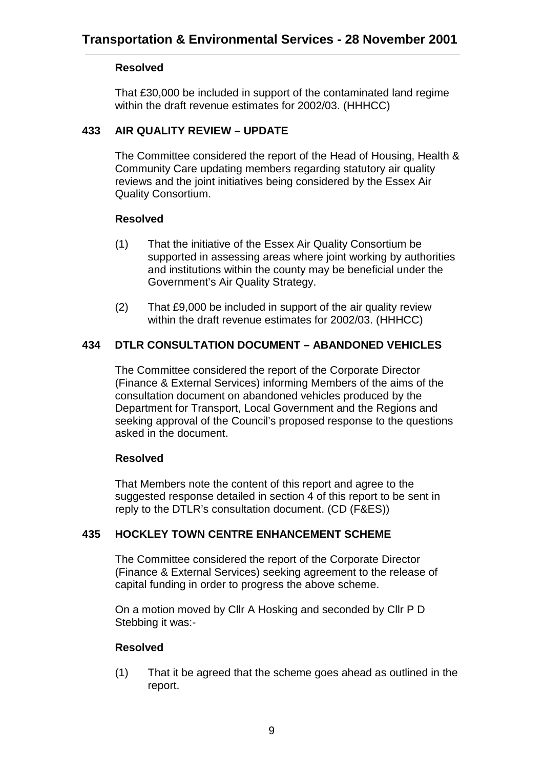### **Resolved**

That £30,000 be included in support of the contaminated land regime within the draft revenue estimates for 2002/03. (HHHCC)

## **433 AIR QUALITY REVIEW – UPDATE**

The Committee considered the report of the Head of Housing, Health & Community Care updating members regarding statutory air quality reviews and the joint initiatives being considered by the Essex Air Quality Consortium.

## **Resolved**

- (1) That the initiative of the Essex Air Quality Consortium be supported in assessing areas where joint working by authorities and institutions within the county may be beneficial under the Government's Air Quality Strategy.
- (2) That £9,000 be included in support of the air quality review within the draft revenue estimates for 2002/03. (HHHCC)

# **434 DTLR CONSULTATION DOCUMENT – ABANDONED VEHICLES**

The Committee considered the report of the Corporate Director (Finance & External Services) informing Members of the aims of the consultation document on abandoned vehicles produced by the Department for Transport, Local Government and the Regions and seeking approval of the Council's proposed response to the questions asked in the document.

# **Resolved**

That Members note the content of this report and agree to the suggested response detailed in section 4 of this report to be sent in reply to the DTLR's consultation document. (CD (F&ES))

# **435 HOCKLEY TOWN CENTRE ENHANCEMENT SCHEME**

The Committee considered the report of the Corporate Director (Finance & External Services) seeking agreement to the release of capital funding in order to progress the above scheme.

On a motion moved by Cllr A Hosking and seconded by Cllr P D Stebbing it was:-

# **Resolved**

(1) That it be agreed that the scheme goes ahead as outlined in the report.